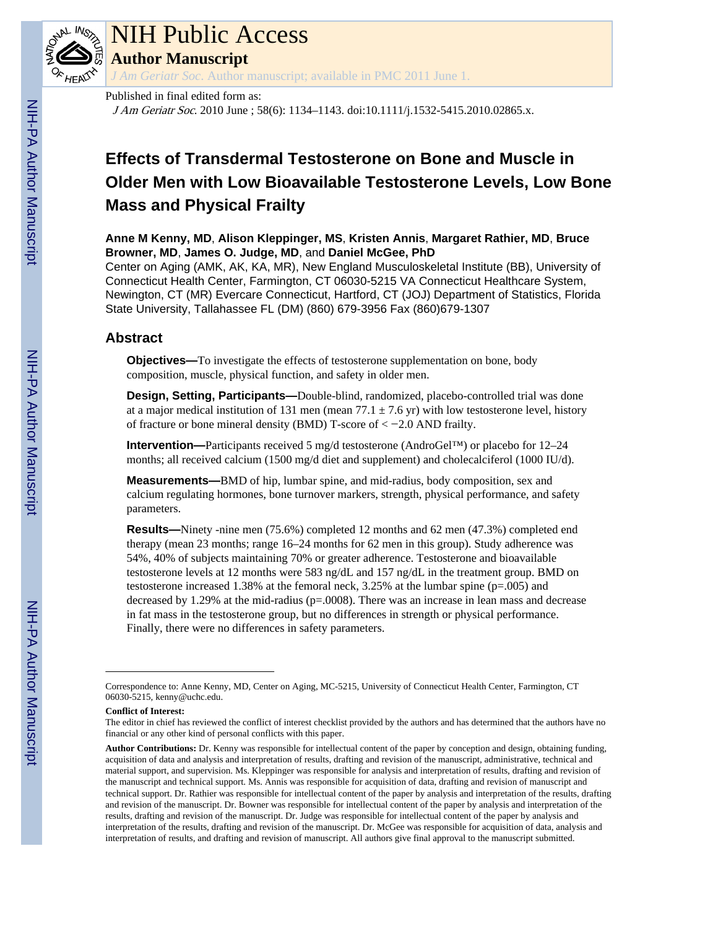

# NIH Public Access

**Author Manuscript**

*J Am Geriatr Soc*. Author manuscript; available in PMC 2011 June 1.

## Published in final edited form as:

J Am Geriatr Soc. 2010 June ; 58(6): 1134–1143. doi:10.1111/j.1532-5415.2010.02865.x.

## **Effects of Transdermal Testosterone on Bone and Muscle in Older Men with Low Bioavailable Testosterone Levels, Low Bone Mass and Physical Frailty**

**Anne M Kenny, MD**, **Alison Kleppinger, MS**, **Kristen Annis**, **Margaret Rathier, MD**, **Bruce Browner, MD**, **James O. Judge, MD**, and **Daniel McGee, PhD**

Center on Aging (AMK, AK, KA, MR), New England Musculoskeletal Institute (BB), University of Connecticut Health Center, Farmington, CT 06030-5215 VA Connecticut Healthcare System, Newington, CT (MR) Evercare Connecticut, Hartford, CT (JOJ) Department of Statistics, Florida State University, Tallahassee FL (DM) (860) 679-3956 Fax (860)679-1307

## **Abstract**

**Objectives—**To investigate the effects of testosterone supplementation on bone, body composition, muscle, physical function, and safety in older men.

**Design, Setting, Participants—**Double-blind, randomized, placebo-controlled trial was done at a major medical institution of 131 men (mean  $77.1 \pm 7.6$  yr) with low testosterone level, history of fracture or bone mineral density (BMD) T-score of < −2.0 AND frailty.

**Intervention—**Participants received 5 mg/d testosterone (AndroGel™) or placebo for 12–24 months; all received calcium (1500 mg/d diet and supplement) and cholecalciferol (1000 IU/d).

**Measurements—**BMD of hip, lumbar spine, and mid-radius, body composition, sex and calcium regulating hormones, bone turnover markers, strength, physical performance, and safety parameters.

**Results—**Ninety -nine men (75.6%) completed 12 months and 62 men (47.3%) completed end therapy (mean 23 months; range 16–24 months for 62 men in this group). Study adherence was 54%, 40% of subjects maintaining 70% or greater adherence. Testosterone and bioavailable testosterone levels at 12 months were 583 ng/dL and 157 ng/dL in the treatment group. BMD on testosterone increased 1.38% at the femoral neck, 3.25% at the lumbar spine (p=.005) and decreased by 1.29% at the mid-radius (p=.0008). There was an increase in lean mass and decrease in fat mass in the testosterone group, but no differences in strength or physical performance. Finally, there were no differences in safety parameters.

**Conflict of Interest:**

Correspondence to: Anne Kenny, MD, Center on Aging, MC-5215, University of Connecticut Health Center, Farmington, CT 06030-5215, kenny@uchc.edu.

The editor in chief has reviewed the conflict of interest checklist provided by the authors and has determined that the authors have no financial or any other kind of personal conflicts with this paper.

**Author Contributions:** Dr. Kenny was responsible for intellectual content of the paper by conception and design, obtaining funding, acquisition of data and analysis and interpretation of results, drafting and revision of the manuscript, administrative, technical and material support, and supervision. Ms. Kleppinger was responsible for analysis and interpretation of results, drafting and revision of the manuscript and technical support. Ms. Annis was responsible for acquisition of data, drafting and revision of manuscript and technical support. Dr. Rathier was responsible for intellectual content of the paper by analysis and interpretation of the results, drafting and revision of the manuscript. Dr. Bowner was responsible for intellectual content of the paper by analysis and interpretation of the results, drafting and revision of the manuscript. Dr. Judge was responsible for intellectual content of the paper by analysis and interpretation of the results, drafting and revision of the manuscript. Dr. McGee was responsible for acquisition of data, analysis and interpretation of results, and drafting and revision of manuscript. All authors give final approval to the manuscript submitted.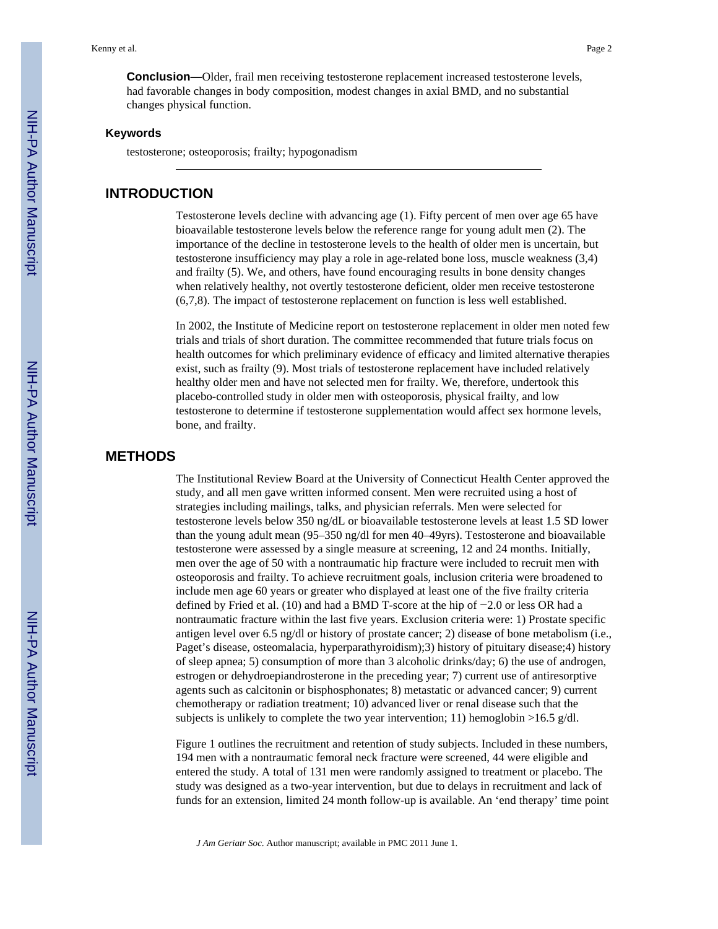## **Keywords**

testosterone; osteoporosis; frailty; hypogonadism

## **INTRODUCTION**

Testosterone levels decline with advancing age (1). Fifty percent of men over age 65 have bioavailable testosterone levels below the reference range for young adult men (2). The importance of the decline in testosterone levels to the health of older men is uncertain, but testosterone insufficiency may play a role in age-related bone loss, muscle weakness (3,4) and frailty (5). We, and others, have found encouraging results in bone density changes when relatively healthy, not overtly testosterone deficient, older men receive testosterone (6,7,8). The impact of testosterone replacement on function is less well established.

In 2002, the Institute of Medicine report on testosterone replacement in older men noted few trials and trials of short duration. The committee recommended that future trials focus on health outcomes for which preliminary evidence of efficacy and limited alternative therapies exist, such as frailty (9). Most trials of testosterone replacement have included relatively healthy older men and have not selected men for frailty. We, therefore, undertook this placebo-controlled study in older men with osteoporosis, physical frailty, and low testosterone to determine if testosterone supplementation would affect sex hormone levels, bone, and frailty.

## **METHODS**

The Institutional Review Board at the University of Connecticut Health Center approved the study, and all men gave written informed consent. Men were recruited using a host of strategies including mailings, talks, and physician referrals. Men were selected for testosterone levels below 350 ng/dL or bioavailable testosterone levels at least 1.5 SD lower than the young adult mean (95–350 ng/dl for men 40–49yrs). Testosterone and bioavailable testosterone were assessed by a single measure at screening, 12 and 24 months. Initially, men over the age of 50 with a nontraumatic hip fracture were included to recruit men with osteoporosis and frailty. To achieve recruitment goals, inclusion criteria were broadened to include men age 60 years or greater who displayed at least one of the five frailty criteria defined by Fried et al. (10) and had a BMD T-score at the hip of −2.0 or less OR had a nontraumatic fracture within the last five years. Exclusion criteria were: 1) Prostate specific antigen level over 6.5 ng/dl or history of prostate cancer; 2) disease of bone metabolism (i.e., Paget's disease, osteomalacia, hyperparathyroidism);3) history of pituitary disease;4) history of sleep apnea; 5) consumption of more than 3 alcoholic drinks/day; 6) the use of androgen, estrogen or dehydroepiandrosterone in the preceding year; 7) current use of antiresorptive agents such as calcitonin or bisphosphonates; 8) metastatic or advanced cancer; 9) current chemotherapy or radiation treatment; 10) advanced liver or renal disease such that the subjects is unlikely to complete the two year intervention; 11) hemoglobin >16.5 g/dl.

Figure 1 outlines the recruitment and retention of study subjects. Included in these numbers, 194 men with a nontraumatic femoral neck fracture were screened, 44 were eligible and entered the study. A total of 131 men were randomly assigned to treatment or placebo. The study was designed as a two-year intervention, but due to delays in recruitment and lack of funds for an extension, limited 24 month follow-up is available. An 'end therapy' time point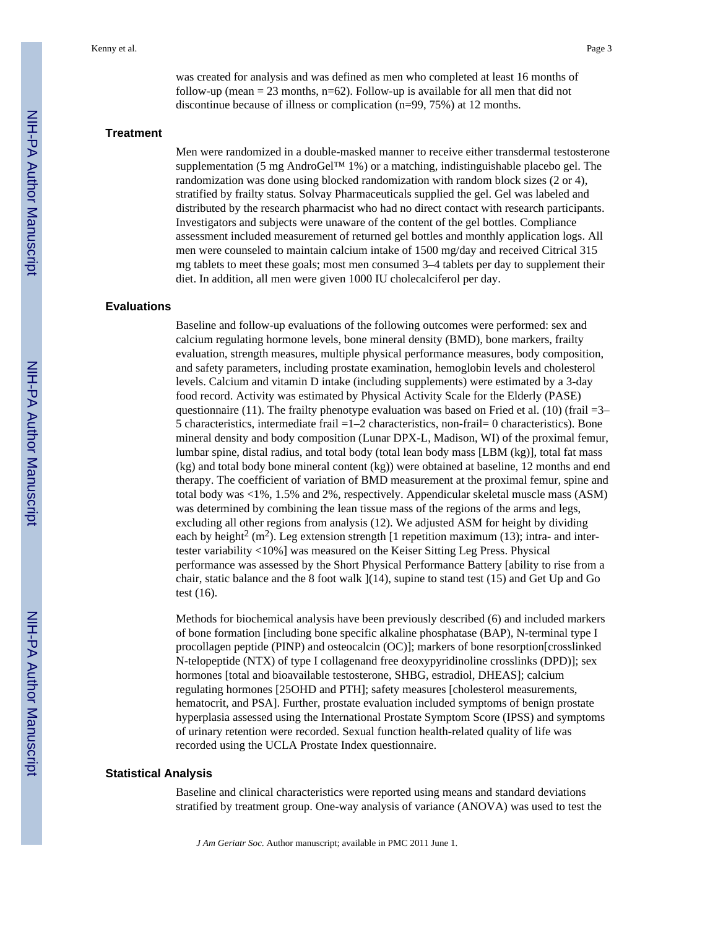was created for analysis and was defined as men who completed at least 16 months of follow-up (mean  $= 23$  months, n=62). Follow-up is available for all men that did not discontinue because of illness or complication (n=99, 75%) at 12 months.

#### **Treatment**

Men were randomized in a double-masked manner to receive either transdermal testosterone supplementation (5 mg AndroGel™ 1%) or a matching, indistinguishable placebo gel. The randomization was done using blocked randomization with random block sizes (2 or 4), stratified by frailty status. Solvay Pharmaceuticals supplied the gel. Gel was labeled and distributed by the research pharmacist who had no direct contact with research participants. Investigators and subjects were unaware of the content of the gel bottles. Compliance assessment included measurement of returned gel bottles and monthly application logs. All men were counseled to maintain calcium intake of 1500 mg/day and received Citrical 315 mg tablets to meet these goals; most men consumed 3–4 tablets per day to supplement their diet. In addition, all men were given 1000 IU cholecalciferol per day.

## **Evaluations**

Baseline and follow-up evaluations of the following outcomes were performed: sex and calcium regulating hormone levels, bone mineral density (BMD), bone markers, frailty evaluation, strength measures, multiple physical performance measures, body composition, and safety parameters, including prostate examination, hemoglobin levels and cholesterol levels. Calcium and vitamin D intake (including supplements) were estimated by a 3-day food record. Activity was estimated by Physical Activity Scale for the Elderly (PASE) questionnaire (11). The frailty phenotype evaluation was based on Fried et al. (10) (frail  $=3-$ 5 characteristics, intermediate frail  $=1-2$  characteristics, non-frail= 0 characteristics). Bone mineral density and body composition (Lunar DPX-L, Madison, WI) of the proximal femur, lumbar spine, distal radius, and total body (total lean body mass [LBM (kg)], total fat mass (kg) and total body bone mineral content (kg)) were obtained at baseline, 12 months and end therapy. The coefficient of variation of BMD measurement at the proximal femur, spine and total body was <1%, 1.5% and 2%, respectively. Appendicular skeletal muscle mass (ASM) was determined by combining the lean tissue mass of the regions of the arms and legs, excluding all other regions from analysis (12). We adjusted ASM for height by dividing each by height<sup>2</sup> (m<sup>2</sup>). Leg extension strength [1 repetition maximum (13); intra- and intertester variability <10%] was measured on the Keiser Sitting Leg Press. Physical performance was assessed by the Short Physical Performance Battery [ability to rise from a chair, static balance and the 8 foot walk  $(14)$ , supine to stand test  $(15)$  and Get Up and Go test (16).

Methods for biochemical analysis have been previously described (6) and included markers of bone formation [including bone specific alkaline phosphatase (BAP), N-terminal type I procollagen peptide (PINP) and osteocalcin (OC)]; markers of bone resorption[crosslinked N-telopeptide (NTX) of type I collagenand free deoxypyridinoline crosslinks (DPD)]; sex hormones [total and bioavailable testosterone, SHBG, estradiol, DHEAS]; calcium regulating hormones [25OHD and PTH]; safety measures [cholesterol measurements, hematocrit, and PSA]. Further, prostate evaluation included symptoms of benign prostate hyperplasia assessed using the International Prostate Symptom Score (IPSS) and symptoms of urinary retention were recorded. Sexual function health-related quality of life was recorded using the UCLA Prostate Index questionnaire.

## **Statistical Analysis**

Baseline and clinical characteristics were reported using means and standard deviations stratified by treatment group. One-way analysis of variance (ANOVA) was used to test the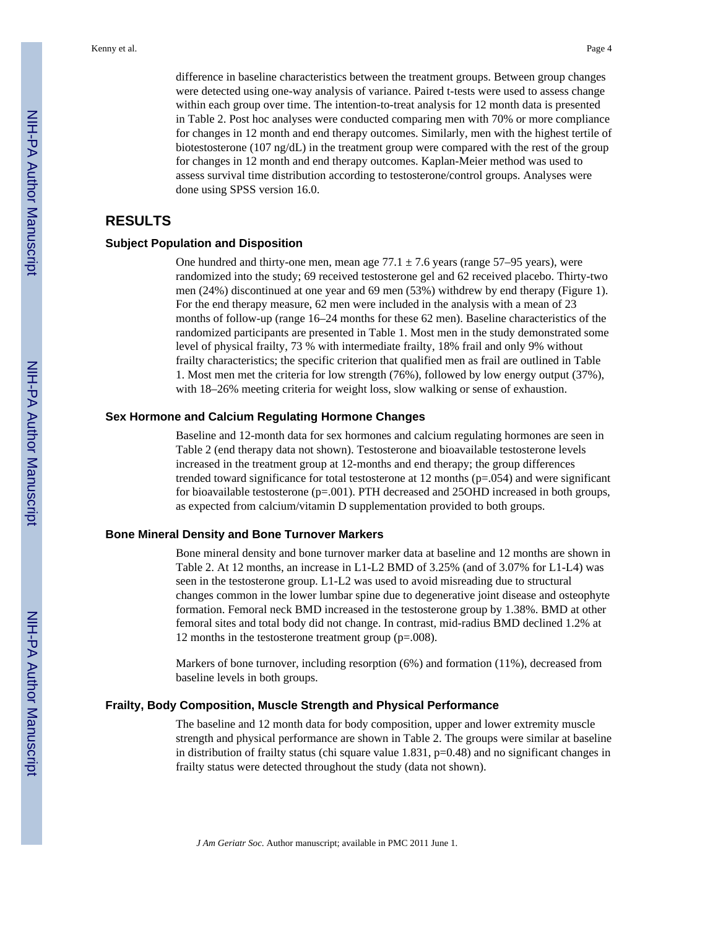difference in baseline characteristics between the treatment groups. Between group changes were detected using one-way analysis of variance. Paired t-tests were used to assess change within each group over time. The intention-to-treat analysis for 12 month data is presented in Table 2. Post hoc analyses were conducted comparing men with 70% or more compliance for changes in 12 month and end therapy outcomes. Similarly, men with the highest tertile of biotestosterone (107 ng/dL) in the treatment group were compared with the rest of the group for changes in 12 month and end therapy outcomes. Kaplan-Meier method was used to assess survival time distribution according to testosterone/control groups. Analyses were done using SPSS version 16.0.

## **RESULTS**

## **Subject Population and Disposition**

One hundred and thirty-one men, mean age  $77.1 \pm 7.6$  years (range  $57-95$  years), were randomized into the study; 69 received testosterone gel and 62 received placebo. Thirty-two men (24%) discontinued at one year and 69 men (53%) withdrew by end therapy (Figure 1). For the end therapy measure, 62 men were included in the analysis with a mean of 23 months of follow-up (range 16–24 months for these 62 men). Baseline characteristics of the randomized participants are presented in Table 1. Most men in the study demonstrated some level of physical frailty, 73 % with intermediate frailty, 18% frail and only 9% without frailty characteristics; the specific criterion that qualified men as frail are outlined in Table 1. Most men met the criteria for low strength (76%), followed by low energy output (37%), with  $18-26\%$  meeting criteria for weight loss, slow walking or sense of exhaustion.

## **Sex Hormone and Calcium Regulating Hormone Changes**

Baseline and 12-month data for sex hormones and calcium regulating hormones are seen in Table 2 (end therapy data not shown). Testosterone and bioavailable testosterone levels increased in the treatment group at 12-months and end therapy; the group differences trended toward significance for total testosterone at 12 months  $(p=.054)$  and were significant for bioavailable testosterone (p=.001). PTH decreased and 25OHD increased in both groups, as expected from calcium/vitamin D supplementation provided to both groups.

## **Bone Mineral Density and Bone Turnover Markers**

Bone mineral density and bone turnover marker data at baseline and 12 months are shown in Table 2. At 12 months, an increase in L1-L2 BMD of 3.25% (and of 3.07% for L1-L4) was seen in the testosterone group. L1-L2 was used to avoid misreading due to structural changes common in the lower lumbar spine due to degenerative joint disease and osteophyte formation. Femoral neck BMD increased in the testosterone group by 1.38%. BMD at other femoral sites and total body did not change. In contrast, mid-radius BMD declined 1.2% at 12 months in the testosterone treatment group (p=.008).

Markers of bone turnover, including resorption (6%) and formation (11%), decreased from baseline levels in both groups.

#### **Frailty, Body Composition, Muscle Strength and Physical Performance**

The baseline and 12 month data for body composition, upper and lower extremity muscle strength and physical performance are shown in Table 2. The groups were similar at baseline in distribution of frailty status (chi square value 1.831, p=0.48) and no significant changes in frailty status were detected throughout the study (data not shown).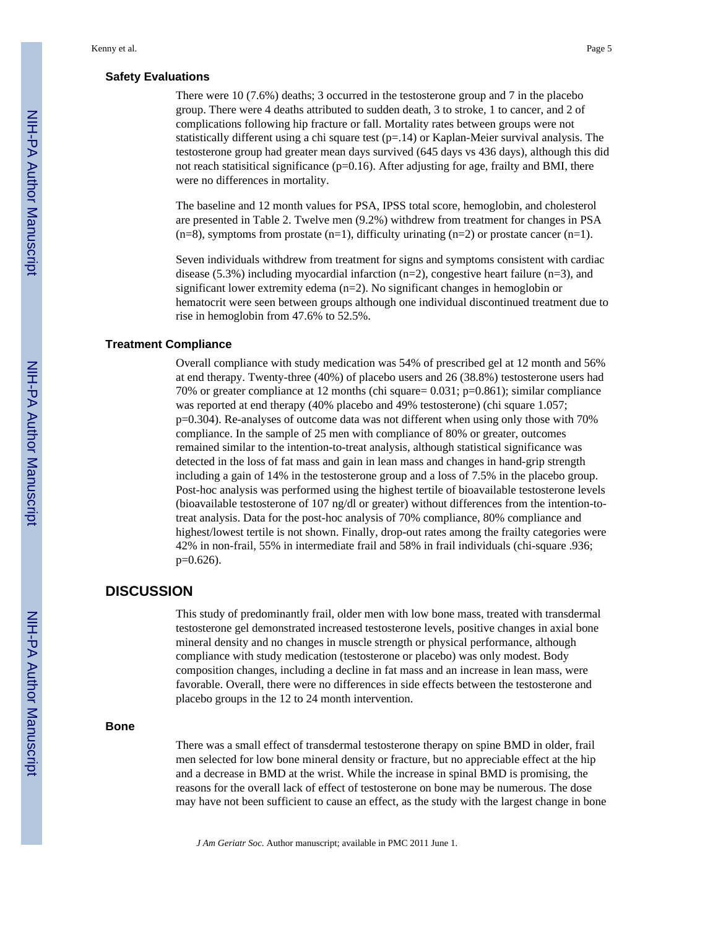## **Safety Evaluations**

There were 10 (7.6%) deaths; 3 occurred in the testosterone group and 7 in the placebo group. There were 4 deaths attributed to sudden death, 3 to stroke, 1 to cancer, and 2 of complications following hip fracture or fall. Mortality rates between groups were not statistically different using a chi square test  $(p=14)$  or Kaplan-Meier survival analysis. The testosterone group had greater mean days survived (645 days vs 436 days), although this did not reach statisitical significance ( $p=0.16$ ). After adjusting for age, frailty and BMI, there were no differences in mortality.

The baseline and 12 month values for PSA, IPSS total score, hemoglobin, and cholesterol are presented in Table 2. Twelve men (9.2%) withdrew from treatment for changes in PSA  $(n=8)$ , symptoms from prostate  $(n=1)$ , difficulty urinating  $(n=2)$  or prostate cancer  $(n=1)$ .

Seven individuals withdrew from treatment for signs and symptoms consistent with cardiac disease (5.3%) including myocardial infarction ( $n=2$ ), congestive heart failure ( $n=3$ ), and significant lower extremity edema (n=2). No significant changes in hemoglobin or hematocrit were seen between groups although one individual discontinued treatment due to rise in hemoglobin from 47.6% to 52.5%.

## **Treatment Compliance**

Overall compliance with study medication was 54% of prescribed gel at 12 month and 56% at end therapy. Twenty-three (40%) of placebo users and 26 (38.8%) testosterone users had 70% or greater compliance at 12 months (chi square= 0.031; p=0.861); similar compliance was reported at end therapy (40% placebo and 49% testosterone) (chi square 1.057; p=0.304). Re-analyses of outcome data was not different when using only those with 70% compliance. In the sample of 25 men with compliance of 80% or greater, outcomes remained similar to the intention-to-treat analysis, although statistical significance was detected in the loss of fat mass and gain in lean mass and changes in hand-grip strength including a gain of 14% in the testosterone group and a loss of 7.5% in the placebo group. Post-hoc analysis was performed using the highest tertile of bioavailable testosterone levels (bioavailable testosterone of 107 ng/dl or greater) without differences from the intention-totreat analysis. Data for the post-hoc analysis of 70% compliance, 80% compliance and highest/lowest tertile is not shown. Finally, drop-out rates among the frailty categories were 42% in non-frail, 55% in intermediate frail and 58% in frail individuals (chi-square .936; p=0.626).

## **DISCUSSION**

This study of predominantly frail, older men with low bone mass, treated with transdermal testosterone gel demonstrated increased testosterone levels, positive changes in axial bone mineral density and no changes in muscle strength or physical performance, although compliance with study medication (testosterone or placebo) was only modest. Body composition changes, including a decline in fat mass and an increase in lean mass, were favorable. Overall, there were no differences in side effects between the testosterone and placebo groups in the 12 to 24 month intervention.

#### **Bone**

There was a small effect of transdermal testosterone therapy on spine BMD in older, frail men selected for low bone mineral density or fracture, but no appreciable effect at the hip and a decrease in BMD at the wrist. While the increase in spinal BMD is promising, the reasons for the overall lack of effect of testosterone on bone may be numerous. The dose may have not been sufficient to cause an effect, as the study with the largest change in bone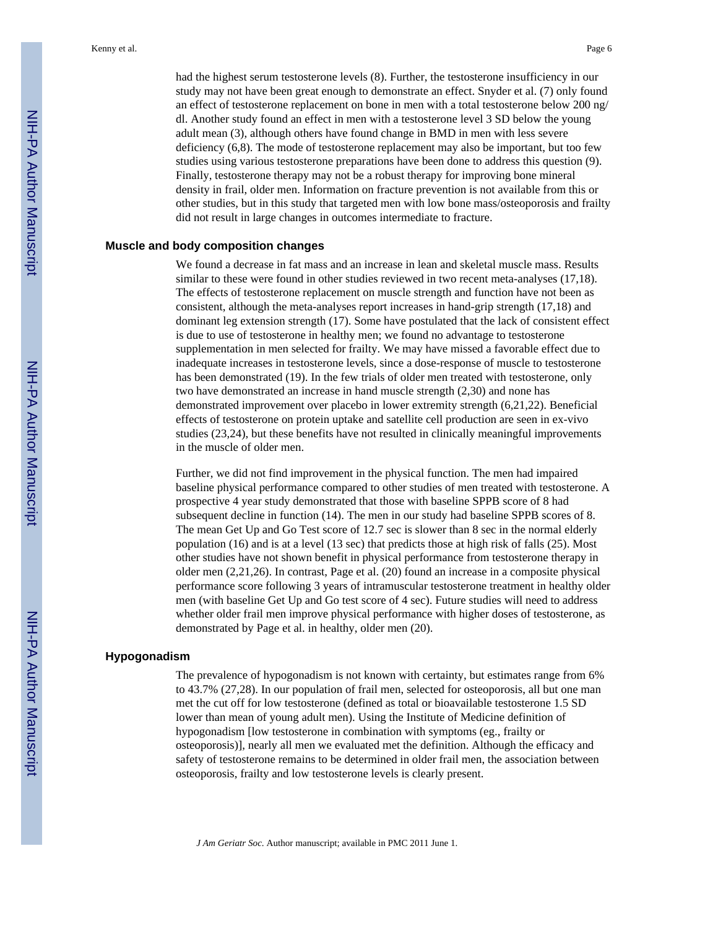had the highest serum testosterone levels (8). Further, the testosterone insufficiency in our study may not have been great enough to demonstrate an effect. Snyder et al. (7) only found an effect of testosterone replacement on bone in men with a total testosterone below 200 ng/ dl. Another study found an effect in men with a testosterone level 3 SD below the young adult mean (3), although others have found change in BMD in men with less severe deficiency (6,8). The mode of testosterone replacement may also be important, but too few studies using various testosterone preparations have been done to address this question (9). Finally, testosterone therapy may not be a robust therapy for improving bone mineral density in frail, older men. Information on fracture prevention is not available from this or other studies, but in this study that targeted men with low bone mass/osteoporosis and frailty did not result in large changes in outcomes intermediate to fracture.

## **Muscle and body composition changes**

We found a decrease in fat mass and an increase in lean and skeletal muscle mass. Results similar to these were found in other studies reviewed in two recent meta-analyses (17,18). The effects of testosterone replacement on muscle strength and function have not been as consistent, although the meta-analyses report increases in hand-grip strength (17,18) and dominant leg extension strength (17). Some have postulated that the lack of consistent effect is due to use of testosterone in healthy men; we found no advantage to testosterone supplementation in men selected for frailty. We may have missed a favorable effect due to inadequate increases in testosterone levels, since a dose-response of muscle to testosterone has been demonstrated (19). In the few trials of older men treated with testosterone, only two have demonstrated an increase in hand muscle strength (2,30) and none has demonstrated improvement over placebo in lower extremity strength (6,21,22). Beneficial effects of testosterone on protein uptake and satellite cell production are seen in ex-vivo studies (23,24), but these benefits have not resulted in clinically meaningful improvements in the muscle of older men.

Further, we did not find improvement in the physical function. The men had impaired baseline physical performance compared to other studies of men treated with testosterone. A prospective 4 year study demonstrated that those with baseline SPPB score of 8 had subsequent decline in function (14). The men in our study had baseline SPPB scores of 8. The mean Get Up and Go Test score of 12.7 sec is slower than 8 sec in the normal elderly population (16) and is at a level (13 sec) that predicts those at high risk of falls (25). Most other studies have not shown benefit in physical performance from testosterone therapy in older men (2,21,26). In contrast, Page et al. (20) found an increase in a composite physical performance score following 3 years of intramuscular testosterone treatment in healthy older men (with baseline Get Up and Go test score of 4 sec). Future studies will need to address whether older frail men improve physical performance with higher doses of testosterone, as demonstrated by Page et al. in healthy, older men (20).

## **Hypogonadism**

The prevalence of hypogonadism is not known with certainty, but estimates range from 6% to 43.7% (27,28). In our population of frail men, selected for osteoporosis, all but one man met the cut off for low testosterone (defined as total or bioavailable testosterone 1.5 SD lower than mean of young adult men). Using the Institute of Medicine definition of hypogonadism [low testosterone in combination with symptoms (eg., frailty or osteoporosis)], nearly all men we evaluated met the definition. Although the efficacy and safety of testosterone remains to be determined in older frail men, the association between osteoporosis, frailty and low testosterone levels is clearly present.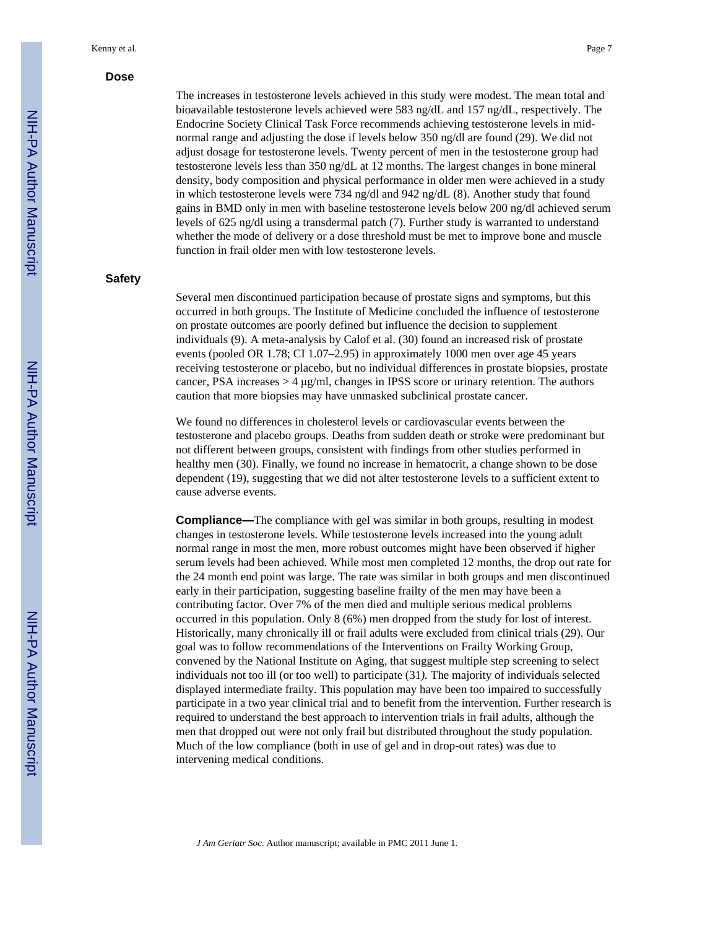### **Dose**

The increases in testosterone levels achieved in this study were modest. The mean total and bioavailable testosterone levels achieved were 583 ng/dL and 157 ng/dL, respectively. The Endocrine Society Clinical Task Force recommends achieving testosterone levels in midnormal range and adjusting the dose if levels below 350 ng/dl are found (29). We did not adjust dosage for testosterone levels. Twenty percent of men in the testosterone group had testosterone levels less than 350 ng/dL at 12 months. The largest changes in bone mineral density, body composition and physical performance in older men were achieved in a study in which testosterone levels were 734 ng/dl and 942 ng/dL (8). Another study that found gains in BMD only in men with baseline testosterone levels below 200 ng/dl achieved serum levels of 625 ng/dl using a transdermal patch (7). Further study is warranted to understand whether the mode of delivery or a dose threshold must be met to improve bone and muscle function in frail older men with low testosterone levels.

## **Safety**

Several men discontinued participation because of prostate signs and symptoms, but this occurred in both groups. The Institute of Medicine concluded the influence of testosterone on prostate outcomes are poorly defined but influence the decision to supplement individuals (9). A meta-analysis by Calof et al. (30) found an increased risk of prostate events (pooled OR 1.78; CI 1.07–2.95) in approximately 1000 men over age 45 years receiving testosterone or placebo, but no individual differences in prostate biopsies, prostate cancer, PSA increases  $>$  4  $\mu$ g/ml, changes in IPSS score or urinary retention. The authors caution that more biopsies may have unmasked subclinical prostate cancer.

We found no differences in cholesterol levels or cardiovascular events between the testosterone and placebo groups. Deaths from sudden death or stroke were predominant but not different between groups, consistent with findings from other studies performed in healthy men (30). Finally, we found no increase in hematocrit, a change shown to be dose dependent (19), suggesting that we did not alter testosterone levels to a sufficient extent to cause adverse events.

**Compliance—**The compliance with gel was similar in both groups, resulting in modest changes in testosterone levels. While testosterone levels increased into the young adult normal range in most the men, more robust outcomes might have been observed if higher serum levels had been achieved. While most men completed 12 months, the drop out rate for the 24 month end point was large. The rate was similar in both groups and men discontinued early in their participation, suggesting baseline frailty of the men may have been a contributing factor. Over 7% of the men died and multiple serious medical problems occurred in this population. Only 8 (6%) men dropped from the study for lost of interest. Historically, many chronically ill or frail adults were excluded from clinical trials (29). Our goal was to follow recommendations of the Interventions on Frailty Working Group, convened by the National Institute on Aging, that suggest multiple step screening to select individuals not too ill (or too well) to participate (31*).* The majority of individuals selected displayed intermediate frailty. This population may have been too impaired to successfully participate in a two year clinical trial and to benefit from the intervention. Further research is required to understand the best approach to intervention trials in frail adults, although the men that dropped out were not only frail but distributed throughout the study population. Much of the low compliance (both in use of gel and in drop-out rates) was due to intervening medical conditions.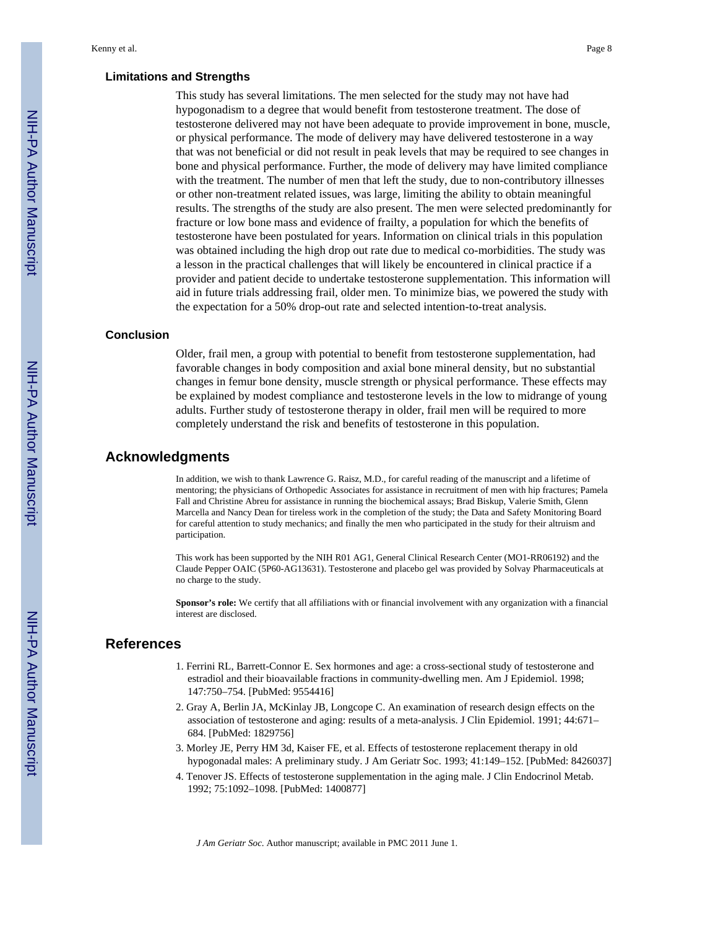## **Limitations and Strengths**

This study has several limitations. The men selected for the study may not have had hypogonadism to a degree that would benefit from testosterone treatment. The dose of testosterone delivered may not have been adequate to provide improvement in bone, muscle, or physical performance. The mode of delivery may have delivered testosterone in a way that was not beneficial or did not result in peak levels that may be required to see changes in bone and physical performance. Further, the mode of delivery may have limited compliance with the treatment. The number of men that left the study, due to non-contributory illnesses or other non-treatment related issues, was large, limiting the ability to obtain meaningful results. The strengths of the study are also present. The men were selected predominantly for fracture or low bone mass and evidence of frailty, a population for which the benefits of testosterone have been postulated for years. Information on clinical trials in this population was obtained including the high drop out rate due to medical co-morbidities. The study was a lesson in the practical challenges that will likely be encountered in clinical practice if a provider and patient decide to undertake testosterone supplementation. This information will aid in future trials addressing frail, older men. To minimize bias, we powered the study with the expectation for a 50% drop-out rate and selected intention-to-treat analysis.

## **Conclusion**

Older, frail men, a group with potential to benefit from testosterone supplementation, had favorable changes in body composition and axial bone mineral density, but no substantial changes in femur bone density, muscle strength or physical performance. These effects may be explained by modest compliance and testosterone levels in the low to midrange of young adults. Further study of testosterone therapy in older, frail men will be required to more completely understand the risk and benefits of testosterone in this population.

## **Acknowledgments**

In addition, we wish to thank Lawrence G. Raisz, M.D., for careful reading of the manuscript and a lifetime of mentoring; the physicians of Orthopedic Associates for assistance in recruitment of men with hip fractures; Pamela Fall and Christine Abreu for assistance in running the biochemical assays; Brad Biskup, Valerie Smith, Glenn Marcella and Nancy Dean for tireless work in the completion of the study; the Data and Safety Monitoring Board for careful attention to study mechanics; and finally the men who participated in the study for their altruism and participation.

This work has been supported by the NIH R01 AG1, General Clinical Research Center (MO1-RR06192) and the Claude Pepper OAIC (5P60-AG13631). Testosterone and placebo gel was provided by Solvay Pharmaceuticals at no charge to the study.

**Sponsor's role:** We certify that all affiliations with or financial involvement with any organization with a financial interest are disclosed.

## **References**

- 1. Ferrini RL, Barrett-Connor E. Sex hormones and age: a cross-sectional study of testosterone and estradiol and their bioavailable fractions in community-dwelling men. Am J Epidemiol. 1998; 147:750–754. [PubMed: 9554416]
- 2. Gray A, Berlin JA, McKinlay JB, Longcope C. An examination of research design effects on the association of testosterone and aging: results of a meta-analysis. J Clin Epidemiol. 1991; 44:671– 684. [PubMed: 1829756]
- 3. Morley JE, Perry HM 3d, Kaiser FE, et al. Effects of testosterone replacement therapy in old hypogonadal males: A preliminary study. J Am Geriatr Soc. 1993; 41:149–152. [PubMed: 8426037]
- 4. Tenover JS. Effects of testosterone supplementation in the aging male. J Clin Endocrinol Metab. 1992; 75:1092–1098. [PubMed: 1400877]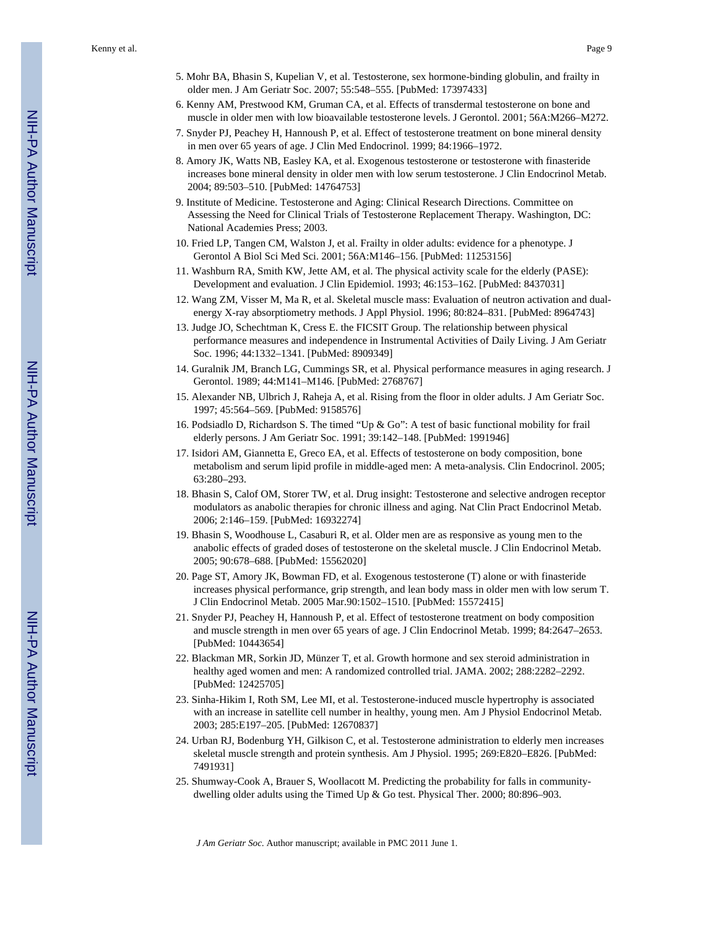- 5. Mohr BA, Bhasin S, Kupelian V, et al. Testosterone, sex hormone-binding globulin, and frailty in older men. J Am Geriatr Soc. 2007; 55:548–555. [PubMed: 17397433]
- 6. Kenny AM, Prestwood KM, Gruman CA, et al. Effects of transdermal testosterone on bone and muscle in older men with low bioavailable testosterone levels. J Gerontol. 2001; 56A:M266–M272.
- 7. Snyder PJ, Peachey H, Hannoush P, et al. Effect of testosterone treatment on bone mineral density in men over 65 years of age. J Clin Med Endocrinol. 1999; 84:1966–1972.
- 8. Amory JK, Watts NB, Easley KA, et al. Exogenous testosterone or testosterone with finasteride increases bone mineral density in older men with low serum testosterone. J Clin Endocrinol Metab. 2004; 89:503–510. [PubMed: 14764753]
- 9. Institute of Medicine. Testosterone and Aging: Clinical Research Directions. Committee on Assessing the Need for Clinical Trials of Testosterone Replacement Therapy. Washington, DC: National Academies Press; 2003.
- 10. Fried LP, Tangen CM, Walston J, et al. Frailty in older adults: evidence for a phenotype. J Gerontol A Biol Sci Med Sci. 2001; 56A:M146–156. [PubMed: 11253156]
- 11. Washburn RA, Smith KW, Jette AM, et al. The physical activity scale for the elderly (PASE): Development and evaluation. J Clin Epidemiol. 1993; 46:153–162. [PubMed: 8437031]
- 12. Wang ZM, Visser M, Ma R, et al. Skeletal muscle mass: Evaluation of neutron activation and dualenergy X-ray absorptiometry methods. J Appl Physiol. 1996; 80:824–831. [PubMed: 8964743]
- 13. Judge JO, Schechtman K, Cress E. the FICSIT Group. The relationship between physical performance measures and independence in Instrumental Activities of Daily Living. J Am Geriatr Soc. 1996; 44:1332–1341. [PubMed: 8909349]
- 14. Guralnik JM, Branch LG, Cummings SR, et al. Physical performance measures in aging research. J Gerontol. 1989; 44:M141–M146. [PubMed: 2768767]
- 15. Alexander NB, Ulbrich J, Raheja A, et al. Rising from the floor in older adults. J Am Geriatr Soc. 1997; 45:564–569. [PubMed: 9158576]
- 16. Podsiadlo D, Richardson S. The timed "Up & Go": A test of basic functional mobility for frail elderly persons. J Am Geriatr Soc. 1991; 39:142–148. [PubMed: 1991946]
- 17. Isidori AM, Giannetta E, Greco EA, et al. Effects of testosterone on body composition, bone metabolism and serum lipid profile in middle-aged men: A meta-analysis. Clin Endocrinol. 2005; 63:280–293.
- 18. Bhasin S, Calof OM, Storer TW, et al. Drug insight: Testosterone and selective androgen receptor modulators as anabolic therapies for chronic illness and aging. Nat Clin Pract Endocrinol Metab. 2006; 2:146–159. [PubMed: 16932274]
- 19. Bhasin S, Woodhouse L, Casaburi R, et al. Older men are as responsive as young men to the anabolic effects of graded doses of testosterone on the skeletal muscle. J Clin Endocrinol Metab. 2005; 90:678–688. [PubMed: 15562020]
- 20. Page ST, Amory JK, Bowman FD, et al. Exogenous testosterone (T) alone or with finasteride increases physical performance, grip strength, and lean body mass in older men with low serum T. J Clin Endocrinol Metab. 2005 Mar.90:1502–1510. [PubMed: 15572415]
- 21. Snyder PJ, Peachey H, Hannoush P, et al. Effect of testosterone treatment on body composition and muscle strength in men over 65 years of age. J Clin Endocrinol Metab. 1999; 84:2647–2653. [PubMed: 10443654]
- 22. Blackman MR, Sorkin JD, Münzer T, et al. Growth hormone and sex steroid administration in healthy aged women and men: A randomized controlled trial. JAMA. 2002; 288:2282–2292. [PubMed: 12425705]
- 23. Sinha-Hikim I, Roth SM, Lee MI, et al. Testosterone-induced muscle hypertrophy is associated with an increase in satellite cell number in healthy, young men. Am J Physiol Endocrinol Metab. 2003; 285:E197–205. [PubMed: 12670837]
- 24. Urban RJ, Bodenburg YH, Gilkison C, et al. Testosterone administration to elderly men increases skeletal muscle strength and protein synthesis. Am J Physiol. 1995; 269:E820–E826. [PubMed: 7491931]
- 25. Shumway-Cook A, Brauer S, Woollacott M. Predicting the probability for falls in communitydwelling older adults using the Timed Up & Go test. Physical Ther. 2000; 80:896–903.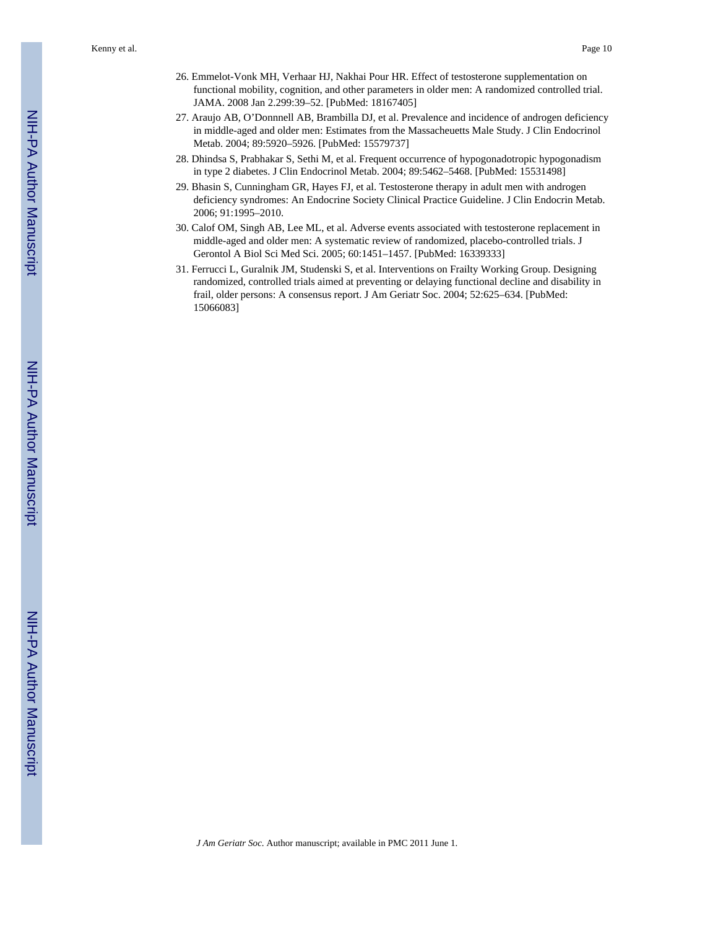Kenny et al. Page 10

- 26. Emmelot-Vonk MH, Verhaar HJ, Nakhai Pour HR. Effect of testosterone supplementation on functional mobility, cognition, and other parameters in older men: A randomized controlled trial. JAMA. 2008 Jan 2.299:39–52. [PubMed: 18167405]
- 27. Araujo AB, O'Donnnell AB, Brambilla DJ, et al. Prevalence and incidence of androgen deficiency in middle-aged and older men: Estimates from the Massacheuetts Male Study. J Clin Endocrinol Metab. 2004; 89:5920–5926. [PubMed: 15579737]
- 28. Dhindsa S, Prabhakar S, Sethi M, et al. Frequent occurrence of hypogonadotropic hypogonadism in type 2 diabetes. J Clin Endocrinol Metab. 2004; 89:5462–5468. [PubMed: 15531498]
- 29. Bhasin S, Cunningham GR, Hayes FJ, et al. Testosterone therapy in adult men with androgen deficiency syndromes: An Endocrine Society Clinical Practice Guideline. J Clin Endocrin Metab. 2006; 91:1995–2010.
- 30. Calof OM, Singh AB, Lee ML, et al. Adverse events associated with testosterone replacement in middle-aged and older men: A systematic review of randomized, placebo-controlled trials. J Gerontol A Biol Sci Med Sci. 2005; 60:1451–1457. [PubMed: 16339333]
- 31. Ferrucci L, Guralnik JM, Studenski S, et al. Interventions on Frailty Working Group. Designing randomized, controlled trials aimed at preventing or delaying functional decline and disability in frail, older persons: A consensus report. J Am Geriatr Soc. 2004; 52:625–634. [PubMed: 15066083]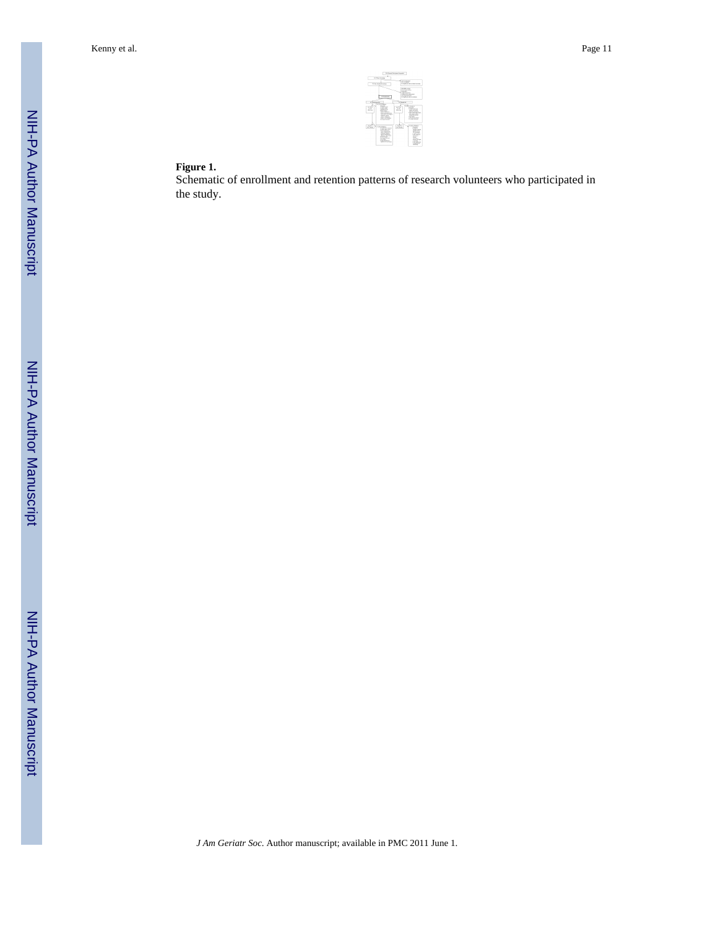|                                                     | <b>FST Plan Scientist</b><br>"of this book disco                                                                                                                                                                                                                                                 | LB Scott product<br><b>CALL AND</b>                                                                                        | <b>CO-Salta, he All or deal systems</b>                                                                                                                                                                                                       |
|-----------------------------------------------------|--------------------------------------------------------------------------------------------------------------------------------------------------------------------------------------------------------------------------------------------------------------------------------------------------|----------------------------------------------------------------------------------------------------------------------------|-----------------------------------------------------------------------------------------------------------------------------------------------------------------------------------------------------------------------------------------------|
|                                                     | Co. August                                                                                                                                                                                                                                                                                       | and dealers with<br><b>School Ave De County</b><br><b><i><u>ABANET</u></i></b><br><b>CONTRACTOR</b><br><b>15 Kellurian</b> | <b><i>Blazyle Membership</i></b><br>arrests to an excess                                                                                                                                                                                      |
| as Substantial<br>$-$<br>$\sim$<br><b>Miller Ad</b> | <b>S.Christma</b><br><b>Channel</b><br><b>Thursday</b><br>Contractor Mil-<br><b>CONTRACTOR</b><br>Advantage of<br>Anna month and<br><b>CEA NOT ASSESSED</b><br><b><i><u>SAMUELLAND</u></i></b><br>dealers allowance<br>down the distant<br>The Suite American                                    | of disease shall<br>$\overline{a}$<br>12.12<br>state.                                                                      | <b>COLORADO</b><br>$\sim$<br><b>Conference from</b><br>sent month.<br><b>Windows Associate</b><br>1-Ac out-of Sa source<br>hat pages shirts.<br>statement formed<br><b>Contract</b><br><b>Call associated</b><br>Th had been                  |
| 1.45<br>for frank.                                  | <b>Councillane</b><br>12 Mid-Pitt Intrast<br>I make the cut of<br>False suburbace<br><b>Contract Contract Contract</b><br>Advised a British<br>painted at Africa at<br>allowed with learn-<br><b>CAR ACTIVATE</b><br>The first statement<br>$\sim$<br><b>CASE AND FOUR</b><br>station board from | <b>WANT</b><br><b>Factback</b>                                                                                             | <b>Brains America</b><br>$-200$<br>$-$<br><b>Service Control</b><br><b>STATE OFFICE</b><br><b>COLAMINAL</b><br>Trade City<br><b>New subsidiar</b><br>$\sim$<br>All Antonio<br>Area becam<br>Fall St.<br><b>CAR GRAVE</b><br><b>CONTRACTOR</b> |

## **Figure 1.**

Schematic of enrollment and retention patterns of research volunteers who participated in the study.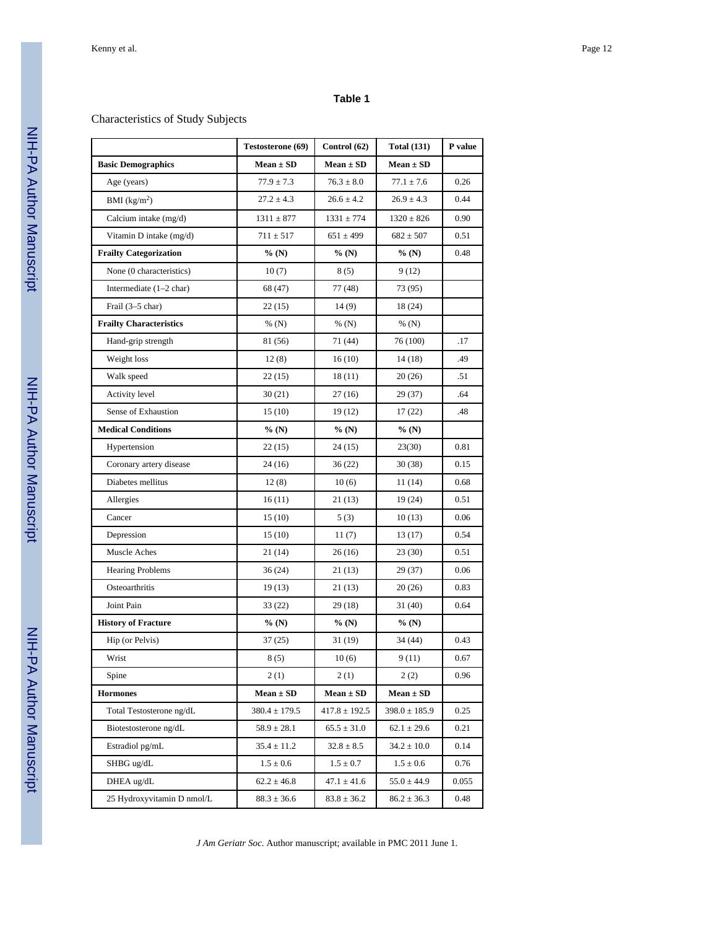## **Table 1**

## Characteristics of Study Subjects

|                                   | Testosterone (69) | Control (62)      | <b>Total (131)</b> | P value |
|-----------------------------------|-------------------|-------------------|--------------------|---------|
| <b>Basic Demographics</b>         | $Mean \pm SD$     | $Mean \pm SD$     | $Mean \pm SD$      |         |
| Age (years)                       | $77.9 \pm 7.3$    | $76.3 \pm 8.0$    | $77.1 \pm 7.6$     | 0.26    |
| BMI $(kg/m2)$                     | $27.2 \pm 4.3$    | $26.6 \pm 4.2$    | $26.9 \pm 4.3$     | 0.44    |
| Calcium intake (mg/d)             | $1311 \pm 877$    | $1331 \pm 774$    | $1320 \pm 826$     | 0.90    |
| Vitamin D intake (mg/d)           | $711 \pm 517$     | $651 \pm 499$     | $682 \pm 507$      | 0.51    |
| <b>Frailty Categorization</b>     | %(N)              | % (N)             | % (N)              | 0.48    |
| None (0 characteristics)          | 10(7)             | 8(5)              | 9(12)              |         |
| Intermediate $(1-2 \text{ char})$ | 68 (47)           | 77 (48)           | 73 (95)            |         |
| Frail (3-5 char)                  | 22(15)            | 14(9)             | 18 (24)            |         |
| <b>Frailty Characteristics</b>    | % $(N)$           | % $(N)$           | % $(N)$            |         |
| Hand-grip strength                | 81 (56)           | 71 (44)           | 76 (100)           | .17     |
| Weight loss                       | 12(8)             | 16(10)            | 14 (18)            | .49     |
| Walk speed                        | 22(15)            | 18(11)            | 20(26)             | .51     |
| Activity level                    | 30(21)            | 27 (16)           | 29(37)             | .64     |
| Sense of Exhaustion               | 15(10)            | 19 (12)           | 17(22)             | .48     |
| <b>Medical Conditions</b>         | %(N)              | % (N)             | % (N)              |         |
| Hypertension                      | 22(15)            | 24 (15)           | 23(30)             | 0.81    |
| Coronary artery disease           | 24 (16)           | 36(22)            | 30 (38)            | 0.15    |
| Diabetes mellitus                 | 12(8)             | 10(6)             | 11(14)             | 0.68    |
| Allergies                         | 16(11)            | 21 (13)           | 19 (24)            | 0.51    |
| Cancer                            | 15(10)            | 5(3)              | 10(13)             | 0.06    |
| Depression                        | 15(10)            | 11(7)             | 13 (17)            | 0.54    |
| Muscle Aches                      | 21 (14)           | 26 (16)           | 23 (30)            | 0.51    |
| <b>Hearing Problems</b>           | 36 (24)           | 21 (13)           | 29(37)             | 0.06    |
| Osteoarthritis                    | 19(13)            | 21 (13)           | 20(26)             | 0.83    |
| Joint Pain                        | 33 (22)           | 29 (18)           | 31 (40)            | 0.64    |
| <b>History of Fracture</b>        | % (N)             | % $(N)$           | %(N)               |         |
| Hip (or Pelvis)                   | 37 (25)           | 31 (19)           | 34 (44)            | 0.43    |
| Wrist                             | 8(5)              | $10(6)$           | 9(11)              | 0.67    |
| Spine                             | 2(1)              | 2(1)              | 2(2)               | 0.96    |
| <b>Hormones</b>                   | $Mean \pm SD$     | $Mean \pm SD$     | $Mean \pm SD$      |         |
| Total Testosterone ng/dL          | $380.4 \pm 179.5$ | $417.8 \pm 192.5$ | $398.0 \pm 185.9$  | 0.25    |
| Biotestosterone ng/dL             | $58.9 \pm 28.1$   | $65.5 \pm 31.0$   | $62.1 \pm 29.6$    | 0.21    |
| Estradiol pg/mL                   | $35.4 \pm 11.2$   | $32.8 \pm 8.5$    | $34.2 \pm 10.0$    | 0.14    |
| SHBG ug/dL                        | $1.5 \pm 0.6$     | $1.5\pm0.7$       | $1.5 \pm 0.6$      | 0.76    |
| DHEA ug/dL                        | $62.2 \pm 46.8$   | $47.1 \pm 41.6$   | $55.0 \pm 44.9$    | 0.055   |
| 25 Hydroxyvitamin D nmol/L        | $88.3 \pm 36.6$   | $83.8 \pm 36.2$   | $86.2 \pm 36.3$    | 0.48    |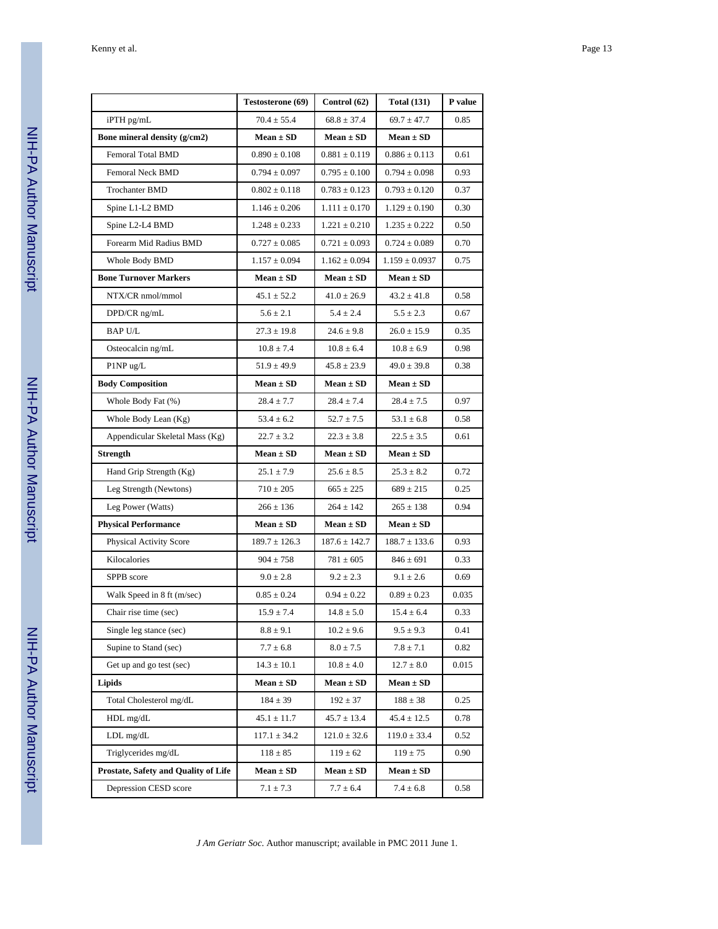|                                      | Testosterone (69) | Control (62)      | <b>Total (131)</b> | P value |
|--------------------------------------|-------------------|-------------------|--------------------|---------|
| iPTH pg/mL                           | $70.4 \pm 55.4$   | $68.8 \pm 37.4$   | $69.7 \pm 47.7$    | 0.85    |
| Bone mineral density (g/cm2)         | $Mean \pm SD$     | $Mean \pm SD$     | $Mean \pm SD$      |         |
| Femoral Total BMD                    | $0.890 \pm 0.108$ | $0.881 \pm 0.119$ | $0.886 \pm 0.113$  | 0.61    |
| Femoral Neck BMD                     | $0.794 \pm 0.097$ | $0.795 \pm 0.100$ | $0.794 \pm 0.098$  | 0.93    |
| <b>Trochanter BMD</b>                | $0.802 \pm 0.118$ | $0.783 \pm 0.123$ | $0.793 \pm 0.120$  | 0.37    |
| Spine L1-L2 BMD                      | $1.146 \pm 0.206$ | $1.111 \pm 0.170$ | $1.129 \pm 0.190$  | 0.30    |
| Spine L2-L4 BMD                      | $1.248 \pm 0.233$ | $1.221 \pm 0.210$ | $1.235 \pm 0.222$  | 0.50    |
| Forearm Mid Radius BMD               | $0.727 \pm 0.085$ | $0.721 \pm 0.093$ | $0.724 \pm 0.089$  | 0.70    |
| Whole Body BMD                       | $1.157 \pm 0.094$ | $1.162 \pm 0.094$ | $1.159 \pm 0.0937$ | 0.75    |
| <b>Bone Turnover Markers</b>         | $Mean \pm SD$     | $Mean \pm SD$     | $Mean \pm SD$      |         |
| NTX/CR nmol/mmol                     | $45.1 \pm 52.2$   | $41.0 \pm 26.9$   | $43.2 \pm 41.8$    | 0.58    |
| DPD/CR ng/mL                         | $5.6 \pm 2.1$     | $5.4 \pm 2.4$     | $5.5 \pm 2.3$      | 0.67    |
| <b>BAP U/L</b>                       | $27.3 \pm 19.8$   | $24.6 \pm 9.8$    | $26.0 \pm 15.9$    | 0.35    |
| Osteocalcin ng/mL                    | $10.8 \pm 7.4$    | $10.8 \pm 6.4$    | $10.8 \pm 6.9$     | 0.98    |
| P1NP ug/L                            | $51.9 \pm 49.9$   | $45.8 \pm 23.9$   | $49.0 \pm 39.8$    | 0.38    |
| <b>Body Composition</b>              | $Mean \pm SD$     | $Mean \pm SD$     | $Mean \pm SD$      |         |
| Whole Body Fat (%)                   | $28.4 \pm 7.7$    | $28.4 \pm 7.4$    | $28.4 \pm 7.5$     | 0.97    |
| Whole Body Lean (Kg)                 | $53.4 \pm 6.2$    | $52.7 \pm 7.5$    | $53.1 \pm 6.8$     | 0.58    |
| Appendicular Skeletal Mass (Kg)      | $22.7 \pm 3.2$    | $22.3 \pm 3.8$    | $22.5 \pm 3.5$     | 0.61    |
| <b>Strength</b>                      | $Mean \pm SD$     | $Mean \pm SD$     | $Mean \pm SD$      |         |
| Hand Grip Strength (Kg)              | $25.1 \pm 7.9$    | $25.6 \pm 8.5$    | $25.3 \pm 8.2$     | 0.72    |
| Leg Strength (Newtons)               | $710 \pm 205$     | $665 \pm 225$     | $689 \pm 215$      | 0.25    |
| Leg Power (Watts)                    | $266 \pm 136$     | $264 \pm 142$     | $265 \pm 138$      | 0.94    |
| <b>Physical Performance</b>          | $Mean \pm SD$     | $Mean \pm SD$     | $Mean \pm SD$      |         |
| Physical Activity Score              | $189.7 \pm 126.3$ | $187.6 \pm 142.7$ | $188.7 \pm 133.6$  | 0.93    |
| Kilocalories                         | $904 \pm 758$     | $781 \pm 605$     | $846 \pm 691$      | 0.33    |
| SPPB score                           | $9.0 \pm 2.8$     | $9.2 \pm 2.3$     | $9.1 \pm 2.6$      | 0.69    |
| Walk Speed in 8 ft (m/sec)           | $0.85\pm0.24$     | $0.94 \pm 0.22$   | $0.89 \pm 0.23$    | 0.035   |
| Chair rise time (sec)                | $15.9\pm7.4$      | $14.8 \pm 5.0$    | $15.4 \pm 6.4$     | 0.33    |
| Single leg stance (sec)              | $8.8 \pm 9.1$     | $10.2 \pm 9.6$    | $9.5 \pm 9.3$      | 0.41    |
| Supine to Stand (sec)                | $7.7 \pm 6.8$     | $8.0 \pm 7.5$     | $7.8 \pm 7.1$      | 0.82    |
| Get up and go test (sec)             | $14.3 \pm 10.1$   | $10.8 \pm 4.0$    | $12.7 \pm 8.0$     | 0.015   |
| Lipids                               | $Mean \pm SD$     | $Mean \pm SD$     | $Mean \pm SD$      |         |
| Total Cholesterol mg/dL              | $184 \pm 39$      | $192 \pm 37$      | $188 \pm 38$       | 0.25    |
| HDL mg/dL                            | $45.1 \pm 11.7$   | $45.7 \pm 13.4$   | $45.4 \pm 12.5$    | 0.78    |
| LDL mg/dL                            | $117.1 \pm 34.2$  | $121.0 \pm 32.6$  | $119.0 \pm 33.4$   | 0.52    |
| Triglycerides mg/dL                  | $118\pm85$        | $119 \pm 62$      | $119 \pm 75$       | 0.90    |
| Prostate, Safety and Quality of Life | $Mean \pm SD$     | $Mean \pm SD$     | $Mean \pm SD$      |         |
| Depression CESD score                | $7.1 \pm 7.3$     | $7.7 \pm 6.4$     | $7.4 \pm 6.8$      | 0.58    |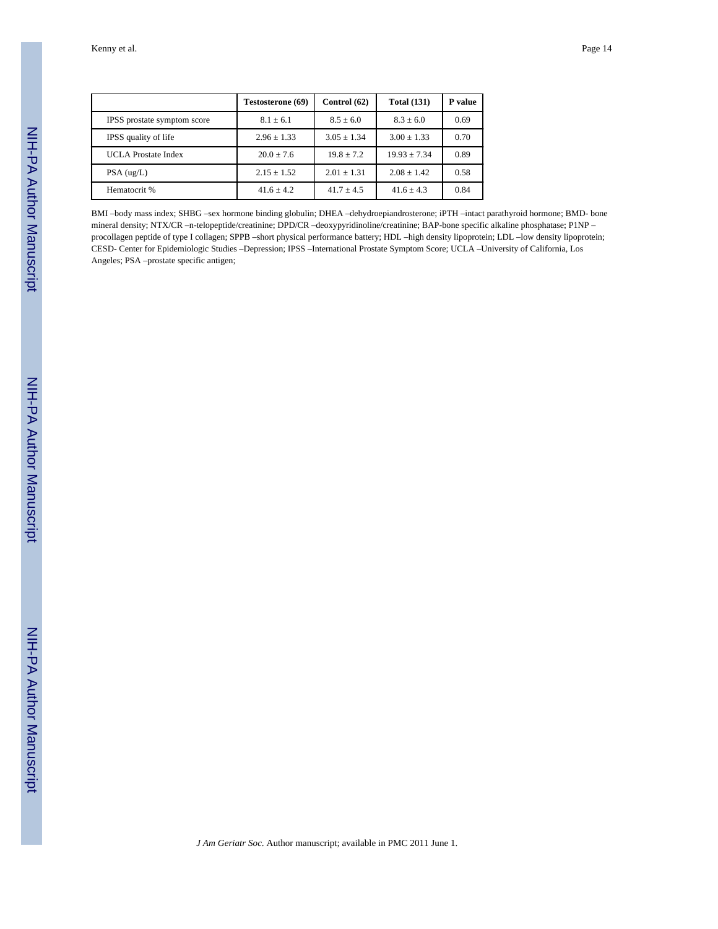|                             | Testosterone (69) | Control (62)   | <b>Total (131)</b> | P value |
|-----------------------------|-------------------|----------------|--------------------|---------|
| IPSS prostate symptom score | $8.1 \pm 6.1$     | $8.5 \pm 6.0$  | $8.3 \pm 6.0$      | 0.69    |
| IPSS quality of life        | $2.96 \pm 1.33$   | $3.05 + 1.34$  | $3.00 \pm 1.33$    | 0.70    |
| <b>UCLA</b> Prostate Index  | $20.0 + 7.6$      | $19.8 + 7.2$   | $19.93 + 7.34$     | 0.89    |
| $PSA$ (ug/L)                | $2.15 + 1.52$     | $2.01 + 1.31$  | $2.08 \pm 1.42$    | 0.58    |
| Hematocrit %                | $41.6 \pm 4.2$    | $41.7 \pm 4.5$ | $41.6 \pm 4.3$     | 0.84    |

BMI –body mass index; SHBG –sex hormone binding globulin; DHEA –dehydroepiandrosterone; iPTH –intact parathyroid hormone; BMD- bone mineral density; NTX/CR –n-telopeptide/creatinine; DPD/CR –deoxypyridinoline/creatinine; BAP-bone specific alkaline phosphatase; P1NP – procollagen peptide of type I collagen; SPPB –short physical performance battery; HDL –high density lipoprotein; LDL –low density lipoprotein; CESD- Center for Epidemiologic Studies –Depression; IPSS –International Prostate Symptom Score; UCLA –University of California, Los Angeles; PSA –prostate specific antigen;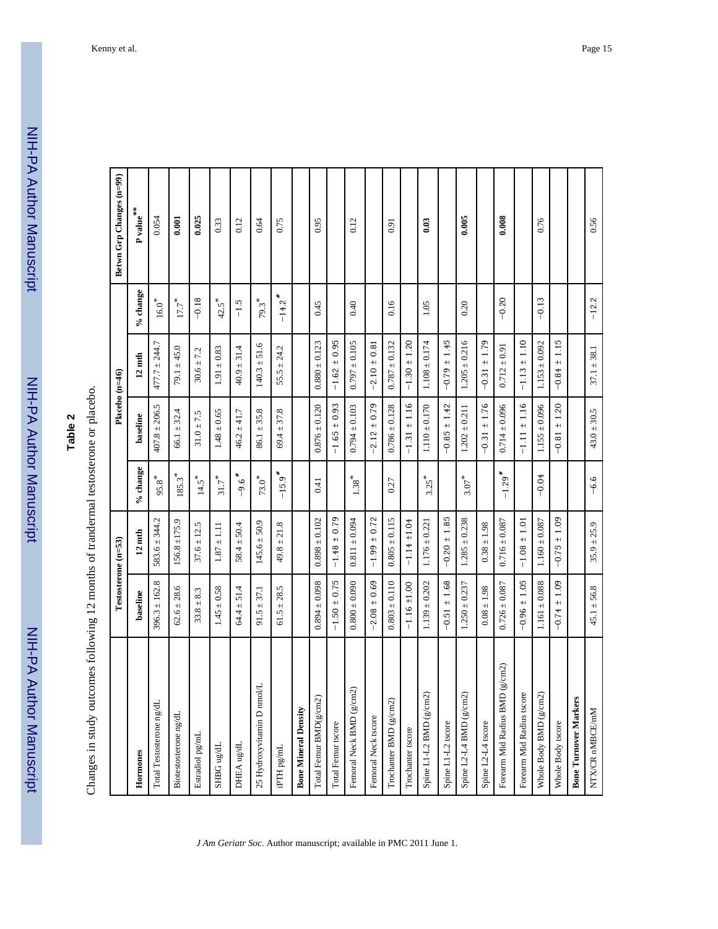NIH-PA Author Manuscript

NIH-PA Author Manuscript

NIH-PA Author Manuscript

NIH-PA Author Manuscript

|                                        | Testosterone (n=53)     |                         |                      | Placebo (n=46)          |                         |                      | Betwn Grp Changes (n=99)       |
|----------------------------------------|-------------------------|-------------------------|----------------------|-------------------------|-------------------------|----------------------|--------------------------------|
| Hormones                               | baseline                | $12 \text{ mth}$        | % change             | baseline                | $12 \text{ mth}$        | $\%$ change          | P value $\hspace{0.1mm}^{***}$ |
| Total Testosterone ng/dI               | $396.3 \pm 162.8$       | $583.6 \pm 344.2$       | $95.8$ <sup>*</sup>  | $407.8 \pm 206.5$       | $477.7 \pm 244.7$       | $16.0^\ast$          | 0.054                          |
| Biotestosterone ng/dL                  | $62.6 \pm 28.6$         | $156.8 \pm 175.9$       | $185.3$ <sup>*</sup> | $66.1 \pm 32.4$         | $79.1 \pm 45.0$         | $17.7$ $^{\ast}$     | 0.001                          |
| Estradiol pg/mL                        | $33.8 \pm 8.3$          | $37.6 \pm 12.5$         | $14.5*$              | $31.0 + 7.5$            | $30.6 \pm 7.2$          | $-0.18$              | 0.025                          |
| $SHBG$ ug/dL                           | $1.45 \pm 0.58$         | $1.87 \pm 1.11$         | $31.7$ $^{\ast}$     | $1.48 \pm 0.65$         | $1.91 \pm 0.83$         | $42.5$ <sup>*</sup>  | 0.33                           |
| DHEA ug/dL                             | $64.4 \pm 51.4$         | $58.4 \pm 50.4$         | $-9.6$ <sup>*</sup>  | $46.2 \pm 41.7$         | $40.9 \pm 31.4$         | $-1.5$               | 0.12                           |
| 25 Hydroxyvitamin D nmol/L             | $91.5 \pm 37.1$         | $145.6 \pm 50.9$        | $73.0$ <sup>*</sup>  | $86.1 \pm 35.8$         | $140.3 \pm 51.6$        | $79.3*$              | 0.64                           |
| iPTH pg/mL                             | $61.5 \pm 28.5$         | $49.8 \pm 21.8$         | $-15.9$ <sup>*</sup> | $69.4 \pm 37.8$         | $55.5 \pm 24.2$         | $-14.2$ <sup>*</sup> | 0.75                           |
| <b>Bone Mineral Density</b>            |                         |                         |                      |                         |                         |                      |                                |
| ದ<br>Total Femur BMD(g/cm              | $0.894 \pm 0.098$       | $0.898 \pm 0.102$       | 0.41                 | $0.876 \pm 0.120$       | $0.880 \pm 0.123$       | 0.45                 | 0.95                           |
| Total Femur tscore                     | $-1.50 \pm 0.75$        | $-1.48 \pm 0.79$        |                      | $-1.65 \pm 0.93$        | $-1.62 \pm 0.95$        |                      |                                |
| Femoral Neck BMD (g/cm2)               | $0.800 \pm 0.090$       | $0.811 \pm 0.094$       | $1.38^{\,*}$         | $0.794 \pm 0.103$       | $0.797 \pm 0.105$       | 0.40                 | 0.12                           |
| Femoral Neck tscore                    | $-2.08 \pm 0.69$        | $-1.99 \pm 0.72$        |                      | $-2.12 \pm 0.79$        | $-2.10 \pm 0.81$        |                      |                                |
| Trochanter BMD (g/cm2)                 | $0.803 \pm 0.110$       | $0.805 \pm 0.115$       | 0.27                 | $0.786 \pm 0.128$       | $0.787 \pm 0.132$       | 0.16                 | 0.91                           |
| Trochanter tscore                      | $-1.16 \pm 1.00$        | $-1.14 \pm 1.04$        |                      | $-1.31 \pm 1.16$        | $-1.30 \pm 1.20$        |                      |                                |
| $\widehat{2}$<br>Spine L1-L2 BMD (g/cm | $1.139 \pm 0.202$       | $1.176 \pm 0.221$       | $3.25*$              | $1.110 \pm 0.170$       | $1.108 \pm 0.174$       | 1.05                 | 0.03                           |
| Spine L1-L2 tscore                     | $-0.51 \pm 1.68$        | $-0.20 \pm 1.85$        |                      | $-0.85 \pm 1.42$        | $-0.79 \pm 1.45$        |                      |                                |
| Spine L2-L4 BMD (g/cm2)                | $1.250 \pm 0.237$       | $1.285 \pm 0.238$       | $3.07$ <sup>*</sup>  | $1.202 \pm 0.211$       | $1.205 \pm 0.216$       | 0.20                 | 0.005                          |
| Spine L2-L4 tscore                     | $0.08 \pm 1.98$         | $0.38 \pm 1.98$         |                      | $-0.31 \pm 1.76$        | ± 1.79<br>$-0.31$       |                      |                                |
| Forearm Mid Radius BMD (g/cm2)         | $0.726 \pm 0.087$       | $0.716 \pm 0.087$       | $-1.29$ <sup>*</sup> | $0.714 \pm 0.096$       | $0.712 \pm 0.91$        | $-0.20$              | 0.008                          |
| Forearm Mid Radius tscore              | $-0.96 \pm 1.05$        | $-1.08 \pm 1.01$        |                      | $-1.11 \pm 1.16$        | $-1.13 \pm 1.10$        |                      |                                |
| $\Omega$<br>Whole Body BMD (g/cm       | $1.161 \pm 0.088$       | $1.160 \pm 0.087$       | $-0.04$              | $1.155 \pm 0.096$       | $1.153 \pm 0.092$       | $-0.13$              | 0.76                           |
| Whole Body tscore                      | 1.09<br>$+1$<br>$-0.74$ | 1.09<br>$+1$<br>$-0.75$ |                      | 1.20<br>$+1$<br>$-0.81$ | 1.15<br>$+1$<br>$-0.84$ |                      |                                |
| <b>Bone Turnover Markers</b>           |                         |                         |                      |                         |                         |                      |                                |
| NTX/CR nMBCE/mM                        | $45.1 \pm 56.8$         | $35.9 \pm 25.9$         | $-6.6$               | $43.0 \pm 30.5$         | $37.1 \pm 38.1$         | $-12.2$              | 0.56                           |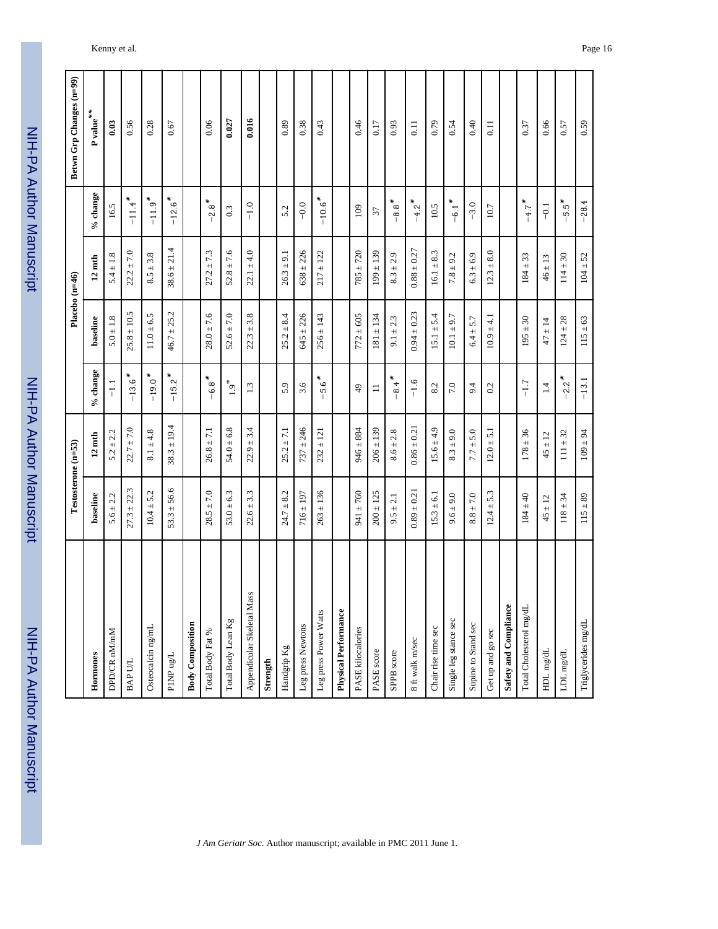| :<br>?<br>:      |
|------------------|
|                  |
|                  |
|                  |
|                  |
|                  |
|                  |
|                  |
|                  |
| <u>ומו ומחהו</u> |
|                  |
|                  |
|                  |
|                  |
|                  |

|                             |                 | Testosterone (n=53) |                      |                 | Placebo (n=46)   |                      | Betwn Grp Changes (n=99)       |
|-----------------------------|-----------------|---------------------|----------------------|-----------------|------------------|----------------------|--------------------------------|
|                             |                 |                     |                      |                 |                  |                      |                                |
| Hormones                    | baseline        | $12 \text{ mth}$    | $\%$ change          | baseline        | $12 \text{ mth}$ | $\%$ change          | P value $\hspace{0.1mm}^{***}$ |
| DPD/CR nM/mM                | $5.6 \pm 2.2$   | $5.2 \pm 2.2$       | $\overline{1.1}$     | $5.0 \pm 1.8$   | $5.4 \pm 1.8$    | 16.5                 | 0.03                           |
| BAP U/L                     | $27.3 \pm 22.3$ | $22.7 \pm 7.0$      | $-13.6$ <sup>*</sup> | $25.8 \pm 10.5$ | $22.2 \pm 7.0$   | $-11.4$              | 0.56                           |
| Osteocalcin ng/mL           | $10.4 \pm 5.2$  | $8.1 \pm 4.8$       | $-19.0*$             | $11.0 \pm 6.5$  | $8.5 \pm 3.8$    | $-11.9$ <sup>*</sup> | 0.28                           |
| $\text{PIMP}$ ug/L          | $53.3 \pm 56.6$ | $38.3 \pm 19.4$     | $-15.2$ <sup>*</sup> | $46.7 \pm 25.2$ | $38.6 \pm 21.4$  | $-12.6$ <sup>*</sup> | 0.67                           |
| <b>Body Composition</b>     |                 |                     |                      |                 |                  |                      |                                |
| Total Body Fat %            | $28.5 \pm 7.0$  | $26.8 \pm 7.1$      | $-6.8*$              | $28.0 \pm 7.6$  | $27.2 \pm 7.3$   | $-2.8$ <sup>*</sup>  | 0.06                           |
| Total Body Lean Kg          | $53.0 \pm 6.3$  | $54.0 \pm 6.8$      | $1.9^*$              | $52.6 \pm 7.0$  | $52.8 \pm 7.6$   | 0.3                  | 0.027                          |
| Appendicular Skeletal Mass  | $22.6 \pm 3.3$  | $22.9 \pm 3.4$      | 1.3                  | $22.3 \pm 3.8$  | $22.1 \pm 4.0$   | $-1.0$               | 0.016                          |
| Strength                    |                 |                     |                      |                 |                  |                      |                                |
| Handgrip Kg                 | $24.7 \pm 8.2$  | $25.2 \pm 7.1$      | 5.9                  | $25.2 \pm 8.4$  | $26.3 \pm 9.1$   | 5.2                  | 0.89                           |
| Leg press Newtons           | $716 \pm 197$   | $737 \pm 246$       | 3.6                  | $645 \pm 226$   | $638 \pm 226$    | $-0.0$               | 0.38                           |
| Leg press Power Watts       | $263 \pm 136$   | $232 \pm 121$       | $-5.6$ *             | $256 \pm 143$   | $217 \pm 122$    | $-10.6$ <sup>*</sup> | 0.43                           |
| <b>Physical Performance</b> |                 |                     |                      |                 |                  |                      |                                |
| PASE kilocalories           | $941 \pm 760$   | $946 \pm 884$       | $\overline{6}$       | $772 \pm 605$   | $785 + 720$      | 109                  | 0.46                           |
| PASE score                  | $200 \pm 125$   | $206 \pm 139$       | $\equiv$             | $181 \pm 134$   | $199 \pm 139$    | 37                   | 0.17                           |
| SPPB score                  | $9.5 \pm 2.1$   | $8.6 \pm 2.8$       | $-8.4$               | $9.1 \pm 2.3$   | $8.3 \pm 2.9$    | $-8.8$ <sup>*</sup>  | 0.93                           |
| 8 ft walk m/sec             | $0.89 \pm 0.21$ | $0.86 \pm 0.21$     | $-1.6$               | $0.94 \pm 0.23$ | $0.88 \pm 0.27$  | $-4.2$ *             | 0.11                           |
| Chair rise time sec         | $15.3 \pm 6.1$  | $15.6 \pm 4.9$      | 8.2                  | $15.1 \pm 5.4$  | $16.1 \pm 8.3$   | 10.5                 | 0.79                           |
| Single leg stance sec       | $9.6 \pm 9.0$   | $8.3 \pm 9.0$       | 7.0                  | $10.1 \pm 9.7$  | $7.8 \pm 9.2$    | $-6.1$ <sup>*</sup>  | 0.54                           |
| Supine to Stand sec         | $8.8\pm7.0$     | $7.7 \pm 5.0$       | 9.4                  | $6.4 \pm 5.7$   | $6.3 \pm 6.9$    | $-3.0$               | 0.40                           |
| Get up and go sec           | $12.4 \pm 5.3$  | $12.0 \pm 5.1$      | 0.2                  | $10.9 \pm 4.1$  | $12.3 \pm 8.0$   | 10.7                 | 0.11                           |
| Safety and Compliance       |                 |                     |                      |                 |                  |                      |                                |
| Total Cholesterol mg/dL     | $184 \pm 40$    | $178 \pm 36$        | $-1.7$               | $195 \pm 30$    | $184 \pm 33$     | $-4.7$ *             | 0.37                           |
| ${\rm HDL\,mgdL}$           | $45 \pm 12$     | $45 \pm 12$         | 1.4                  | $47 \pm 14$     | $46 \pm 13$      | $-61$                | 0.66                           |
| $\text{LDL}$ mg/dL          | $118 \pm 34$    | $111 \pm 32$        | $-2.2$ *             | $124 \pm 28$    | $114 \pm 30$     | $-5.5$ $*$           | 0.57                           |
| Triglycerides mg/dL         | $115 \pm 89$    | $109 \pm 94$        | $-13.1$              | $115 \pm 63$    | $104 \pm 52$     | $-28.4$              | 0.59                           |

٦